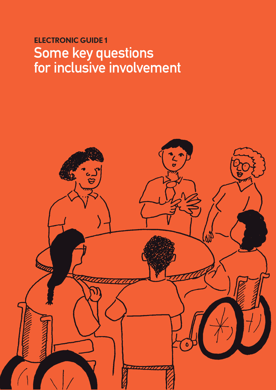# **ElEctronic GuidE 1** Some key questions for inclusive involvement

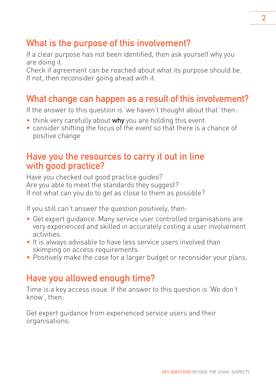## What is the purpose of this involvement?

If a clear purpose has not been identified, then ask yourself why you are doing it.

Check if agreement can be reached about what its purpose should be. If not, then reconsider going ahead with it.

## What change can happen as a result of this involvement?

If the answer to this question is 'we haven't thought about that' then:

- think very carefully about **why** you are holding this event.
- consider shifting the focus of the event so that there is a chance of positive change

#### Have you the resources to carry it out in line with good practice?

Have you checked out good practice guides? Are you able to meet the standards they suggest? If not what can you do to get as close to them as possible?

If you still can't answer the question positively, then:

- Get expert guidance. Many service user controlled organisations are very experienced and skilled in accurately costing a user involvement activities.
- It is always advisable to have less service users involved than skimping on access requirements.
- Positively make the case for a larger budget or reconsider your plans.

## Have you allowed enough time?

Time is a key access issue. If the answer to this question is 'We don't know', then:

Get expert guidance from experienced service users and their organisations.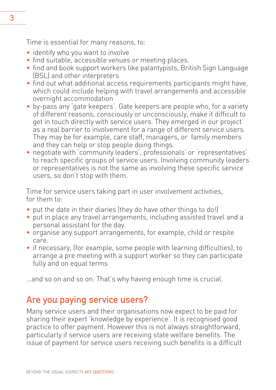Time is essential for many reasons, to:

- identify who you want to involve
- find suitable, accessible venues or meeting places.
- find and book support workers like palantypists, British Sign Language (BSL) and other interpreters
- find out what additional access requirements participants might have, which could include helping with travel arrangements and accessible overnight accommodation
- by-pass any 'gate keepers'. Gate keepers are people who, for a variety of different reasons, consciously or unconsciously, make it difficult to get in touch directly with service users. They emerged in our project as a real barrier to involvement for a range of different service users. They may be for example, care staff, managers, or family members and they can help or stop people doing things.
- negotiate with 'community leaders', professionals' or 'representatives' to reach specific groups of service users. Involving community leaders or representatives is not the same as involving these specific service users, so don't stop with them.

Time for service users taking part in user involvement activities, for them to:

- put the date in their diaries (they do have other things to do!)
- put in place any travel arrangements, including assisted travel and a personal assistant for the day.
- organise any support arrangements, for example, child or respite care.
- if necessary, (for example, some people with learning difficulties), to arrange a pre meeting with a support worker so they can participate fully and on equal terms

…and so on and so on. That's why having enough time is crucial.

## Are you paying service users?

Many service users and their organisations now expect to be paid for sharing their expert 'knowledge by experience'. It is recognised good practice to offer payment. However this is not always straightforward, particularly if service users are receiving state welfare benefits. The issue of payment for service users receiving such benefits is a difficult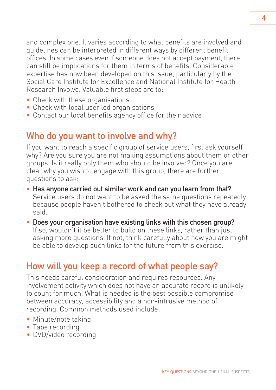and complex one. It varies according to what benefits are involved and guidelines can be interpreted in different ways by different benefit offices. In some cases even if someone does not accept payment, there can still be implications for them in terms of benefits. Considerable expertise has now been developed on this issue, particularly by the Social Care Institute for Excellence and National Institute for Health Research Involve. Valuable first steps are to:

- Check with these organisations
- Check with local user led organisations
- Contact our local benefits agency office for their advice

## Who do you want to involve and why?

If you want to reach a specific group of service users, first ask yourself why? Are you sure you are not making assumptions about them or other groups. Is it really only them who should be involved? Once you are clear why you wish to engage with this group, there are further questions to ask:

- Has anyone carried out similar work and can you learn from that? Service users do not want to be asked the same questions repeatedly because people haven't bothered to check out what they have already said.
- Does your organisation have existing links with this chosen group? If so, wouldn't it be better to build on these links, rather than just asking more questions. If not, think carefully about how you are might be able to develop such links for the future from this exercise.

# How will you keep a record of what people say?

This needs careful consideration and requires resources. Any involvement activity which does not have an accurate record is unlikely to count for much. What is needed is the best possible compromise between accuracy, accessibility and a non-intrusive method of recording. Common methods used include:

- Minute/note taking
- Tape recording
- DVD/video recording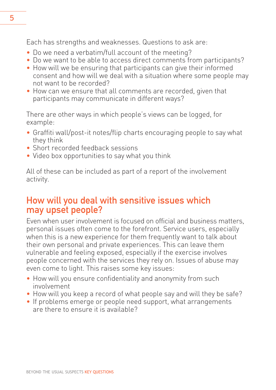Each has strengths and weaknesses. Questions to ask are:

- Do we need a verbatim/full account of the meeting?
- Do we want to be able to access direct comments from participants?
- How will we be ensuring that participants can give their informed consent and how will we deal with a situation where some people may not want to be recorded?
- How can we ensure that all comments are recorded, given that participants may communicate in different ways?

There are other ways in which people's views can be logged, for example:

- Graffiti wall/post-it notes/flip charts encouraging people to say what they think
- Short recorded feedback sessions
- Video box opportunities to say what you think

All of these can be included as part of a report of the involvement activity.

## How will you deal with sensitive issues which may upset people?

Even when user involvement is focused on official and business matters, personal issues often come to the forefront. Service users, especially when this is a new experience for them frequently want to talk about their own personal and private experiences. This can leave them vulnerable and feeling exposed, especially if the exercise involves people concerned with the services they rely on. Issues of abuse may even come to light. This raises some key issues:

- How will you ensure confidentiality and anonymity from such involvement
- How will you keep a record of what people say and will they be safe?
- If problems emerge or people need support, what arrangements are there to ensure it is available?